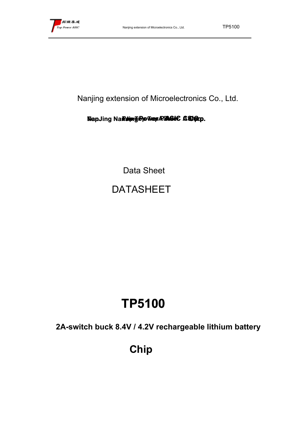Nanjing extension of Microelectronics Co., Ltd.

## **NanJing NanJing Top Top Top Top PowerPower Power PowerASICASIC ASIC ASIC Corp. Corp.**

Data Sheet DATASHEET

# **TP5100**

**2A-switch buck 8.4V / 4.2V rechargeable lithium battery**

**Chip**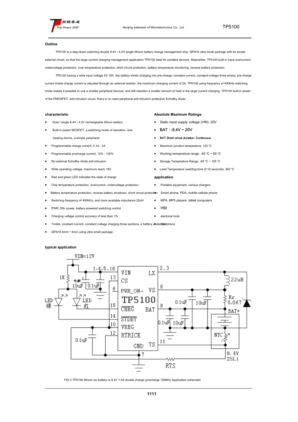

#### **Outline**

TP5100 is a step-down switching double 8.4V / 4.2V single lithium battery charge management chip. QFN16 ultra small package with its simple external circuit, so that the large current charging management application TP5100 ideal for portable devices. Meanwhile, TP5100 built-in input overcurrent, undervoltage protection, over temperature protection, short circuit protection, battery temperature monitoring, reverse battery protection.

TP5100 having a wide input voltage 5V-18V, the battery trickle charging into pre-charge, constant current, constant-voltage three phase, pre-charge current trickle charge current is adjusted through an external resistor, the maximum charging current of 2A. TP5100 using frequency of 400kHz switching mode makes it possible to use a smaller peripheral devices, and still maintain a smaller amount of heat in the large current charging. TP5100 built-in power of the PMOSFET, anti-intrusion circuit, there is no need peripheral anti-intrusion protection Schottky diode.

#### **characteristic**

Dual / single 8.4V / 4.2V rechargeable lithium battery

Built-in power MOSFET, a switching mode of operation, less heating device, a simple peripheral

- Programmable charge current, 0.1A 2A
- Programmable precharge current, 10% 100%
- No external Schottky diode anti-intrusion
- Wide operating voltage, maximum reach 18V
- Red and green LED indicates the state of charge
- Chip temperature protection, overcurrent, undervoltage protection
- Battery temperature protection, reverse battery shutdown, short circuit protection
- Switching frequency of 400KHz, and more available inductance 20uH
- PWR\_ON- power, battery-powered switching control
- Charging voltage control accuracy of less than 1%
- Trickle, constant current, constant voltage charging three sections, a battery protedtiterphone
- QFN16 4mm \* 4mm using ultra small package

#### **typical application**

#### $VIN = 12V$  $1, 4, 5, 16$ 2,3 VIN LX. 13  $1K$ 3  $22uH$ CS 电解  $10uF$  0.1 $uF$ 6 VS PWR\_ON-Rs TP5100 LED LED  $0.1uF$  $10u\overline{F}$ 0.067 15 绿 幻 Q **CHRG** BAT BAT+ 14 STDBY  $0.1$ uF  $10uF$ 10 VREG 12 RTRICK NTC  $0.1uF$ 11 TS GND 8.4V  $\overline{7}$  $2SLi$ W۸ RTS

FIG 2 TP5100 lithium ion battery is 8.4V 1.5A double charge (precharge 150MA) Application schematic

## **Absolute Maximum Ratings**

- Static input supply voltage (VIN): 20V
- BAT : -8.4V ~ 20V
- **BAT Short circuit duration: Continuous**
- Maximum junction temperature: 120 ℃
- Working temperature range: -40 °C ~ 85 °C
- Storage Temperature Range: -65 ℃ ~ 125 ℃
- Lead Temperature (welding time of 10 seconds): 260 ℃

### **application**

■ Portable equipment, various chargers

Smart phone, PDA, mobile cellular phone

- MP4, MP5 players, tablet computers
- HM
- electrical tools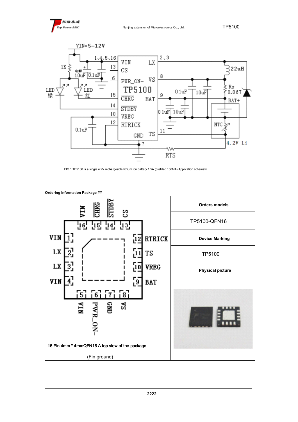



FIG 1 TP5100 is a single 4.2V rechargeable lithium ion battery 1.5A (prefilled 150MA) Application schematic



**Ordering Information Package ////**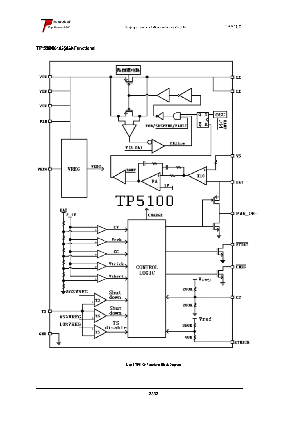

## **TP5100 510051005100 block diagram Functional**



Map 3 TP5100 Functional Block Diagram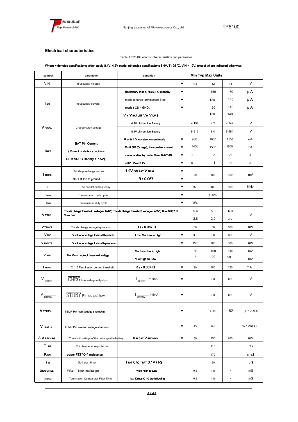

## **Electrical characteristics**

## Table 1 TP5100 electric characteristics can parameter

## Where ● denotes specifications which apply 8.4V, 4.2V mode, otherwise specifications 8.4V, T < 25 ℃, VIN = 12V, except where indicated otherwise.

| symbol             | parameter                                                | condition                                                                                                                               |           | <b>Min Typ Max Units</b> |        |        |            |  |
|--------------------|----------------------------------------------------------|-----------------------------------------------------------------------------------------------------------------------------------------|-----------|--------------------------|--------|--------|------------|--|
| <b>VIN</b>         | Input supply voltage                                     |                                                                                                                                         | $\bullet$ | 4.5<br>12<br>18          |        | $\vee$ |            |  |
| I cc               |                                                          | No battery mode, $R s 0.1 \Omega$ standby                                                                                               | ٠         |                          | 150    | 180    | μA         |  |
|                    |                                                          | mode (charge termination) Stop                                                                                                          | $\bullet$ |                          | 120    | 140    | μΑ         |  |
|                    | Input supply current                                     | $mode (CS = GND,$                                                                                                                       | ٠         |                          | 120    | 140    | μA         |  |
|                    |                                                          | V in V BAT, OF V in V uv)                                                                                                               |           |                          | 120    | 140    |            |  |
| <b>V</b> FLOAL     | Charge cutoff voltage                                    | 4.2V Lithium Ion Battery                                                                                                                |           | 4.158                    | 4.2    | 4.242  | V          |  |
|                    |                                                          | 8.4V Lithium Ion Battery                                                                                                                |           | 8.316                    | 8.4    | 8.484  | V          |  |
|                    | <b>BAT Pin Current:</b><br>(Current mode test conditions | $R s = 0.1 \Omega$ , constant current mode                                                                                              | $\bullet$ | 950                      | 1000   | 1100   | mA         |  |
|                    |                                                          | Rs 0.067 [Omega], the constant current                                                                                                  | ٠         | 1450                     | 1500   | 1600   | mA         |  |
| <b>І</b> ват       |                                                          | mode, a standby mode, V BAT 8.4V VIN                                                                                                    | $\bullet$ | 0                        | $-1$   | $-1$   | uA         |  |
|                    | $CS = VREG$ Battery = 7.5V)                              | $= 0V$ , $V$ bat $8.4V$                                                                                                                 | ٠         | 0                        | $-1$   | $-1$   | uA         |  |
|                    | Trickle pre-charge current                               | 1.2V <v bat="" td="" trikl,<="" v=""><td><math display="inline">\bullet</math></td><td></td><td></td><td></td><td colspan="2"></td></v> | $\bullet$ |                          |        |        |            |  |
| <b>I</b> TRIKL     | RTRICK Pin to ground                                     | Rs0.067                                                                                                                                 | ٠         | 80                       | 100    | 120    | mA         |  |
| F                  | The oscillation frequency                                |                                                                                                                                         | $\bullet$ | 350                      | 400    | 500    | KHz        |  |
| D MAX              | The maximum duty cycle                                   |                                                                                                                                         | $\bullet$ |                          | 100%   |        |            |  |
| D <sub>MIN</sub>   | The minimum duty cycle                                   |                                                                                                                                         | $\bullet$ | 0%                       |        |        |            |  |
|                    | V BAT ISSO                                               | Trickle charge threshold voltage (8.4V) Trickle charge threshold voltage (4.2V) Rs= 0.067 $\Omega$                                      |           | 5.6                      | 5.8    | 6.0    | V          |  |
| <b>V</b> TRIKL     |                                                          |                                                                                                                                         |           | 2.8                      | 2.9    | 3.0    |            |  |
| V TRHYS            | Trickle charge voltage hysteresis                        | $Rs = 0.067 \Omega$                                                                                                                     |           | 60                       | 80     | 100    | mV         |  |
| Vw                 | V IN Undervoltage lockout threshold                      | From V <sub>IN</sub> Low to High                                                                                                        | $\bullet$ | 3.5                      | 3.6    | 3.8    | V          |  |
| <b>V</b> UVHYS     | V IN Undervoltage lockout hysteresis                     |                                                                                                                                         | $\bullet$ | 150                      | 200    | 300    | mV         |  |
|                    | V IN V BAT LOCKOUT threshold voltage                     | V <sub>IN</sub> From low to high                                                                                                        |           | 60                       | 100    | 140    | mV         |  |
| <b>V</b> ASD       |                                                          | V in High to Low                                                                                                                        |           | 5                        | 30     | 50     | mV         |  |
| <b>I</b> TERM      | C / 10 Termination current threshold                     | $Rs = 0.067 \Omega$                                                                                                                     | $\bullet$ | 80                       | 100    | 120    | mA         |  |
| $V \frac{C}{CHRG}$ | $\overline{CHRG}$ Low voltage output pin                 | $I_{CHRG}$ = 5mA                                                                                                                        | $\bullet$ |                          | 0.3    | 0.6    | V          |  |
| ۷-<br><b>STDBY</b> | $\overline{\text{STDBY}}$ Pin output low                 | $\frac{1}{\text{STDBY}}$<br>– = 5mA                                                                                                     | $\bullet$ |                          | 0.3    | 0.6    | V          |  |
| V TEMP-H           | TEMP Pin high voltage shutdown                           |                                                                                                                                         | $\bullet$ |                          | > 80   | 82     | % * VREG   |  |
| V TEMP-L           | TEMP Pin low-end voltage shutdown                        |                                                                                                                                         | $\bullet$ | 43                       | $<$ 45 |        | % * VREG   |  |
| A V RECHRG         | Threshold voltage of the rechargeable battery            | <b>V FLOAT V RECHRG</b>                                                                                                                 | $\bullet$ | 80                       | 150    | 200    | mV         |  |
| <b>TLIM</b>        | Chip temperature protection                              |                                                                                                                                         |           |                          | 110    |        | °C         |  |
| <b>R</b> ON        | power FET "On" resistance                                |                                                                                                                                         |           |                          | 170    |        | m $\Omega$ |  |
| t ss               | Soft start time                                          | I BAT 0 to I BAT 0.1V / RS                                                                                                              |           |                          | 20     |        | u S        |  |
| <b>t RECHARGE</b>  | Filter Time recharge                                     | V BAT High to Low                                                                                                                       |           | 0.8                      | 1.8    | 4      | mS         |  |
| t TERM             | Termination Comparator Filter Time                       | I BAT Drops C 10 the following                                                                                                          |           | 0.8                      | 1.8    | 4      | mS         |  |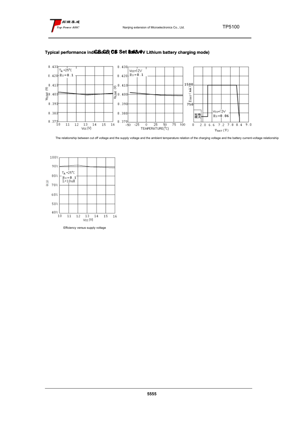



## **Typical performance indicators (CS Set 8.48.8/4V Lithium battery charging mode)**

The relationship between cut off voltage and the supply voltage and the ambient temperature relation of the charging voltage and the battery current-voltage relationship



Efficiency versus supply voltage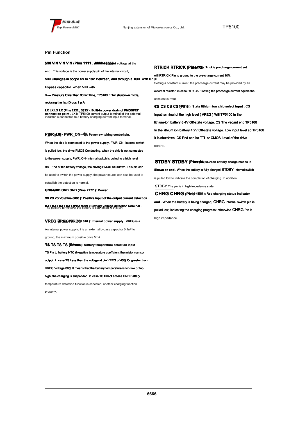

## **Pin Function**

**VIN VIN VIN VIN , 16 (Pins 1111 , 4444 161 616 positive input , 5555 ): Input voltage at the** 

**end** . This voltage is the power supply pin of the internal circuit,

VIN Changes in scope 5V to 18V Between, and through a 10uF with 0.1uF

Bypass capacitor. when VIN with

V BAT Pressure lower than 30my Time, TP5100 Enter shutdown mode.

reducing the I BAT Drops 1 μ A.

**LX LX LX (Pins 2222 , 3333 ): Built-in power drain of PMOSFET**<br>connection point . LX is TP5100 current output terminal of the external<br>inductor is connected to a battery charging current input terminal.

**PWR\_ON- PWR\_ON- PWR\_ON - (((( Pin 6) 6)) : Power switching control pin.**

When the chip is connected to the power supply, PWR\_ON- Internal switch is pulled low, the drive PMOS Conducting, when the chip is not connected to the power supply, PWR\_ON- Internal switch is pulled to a high level BAT End of the battery voltage, the driving PMOS Shutdown. This pin can be used to switch the power supply, the power source can also be used to establish the detection is normal. **GND GND GND (Pins 7777 ): Power** 

**VS VS VS VS (Pins 8888 ): Positive input of the output current detection** .

**BAT BAT BAT (Pins 9999): Battery voltage detection terminal.**<br>The positive terminal of the battery is connected to this pin.

**VREG (FRESS 10REG 010): Internal power supply . VREG is a** An internal power supply, it is an external bypass capacitor 0.1uF to ground, the maximum possible drive 5mA.

**TS TS TS (@instal): Battery temperature detection input** TS Pin to battery NTC (Negative temperature coefficient thermistor) sensor output. in case TS Less than the voltage at pin VREG of 45% Or greater than VREG Voltage 80% It means that the battery temperature is too low or too high, the charging is suspended. in case TS Direct access GND Battery temperature detection function is canceled, another charging function properly.

will RTRICK Pin to ground to the pre-charge current 10% Setting a constant current, the precharge current may be provided by an external resistor. in case RTRICK Floating the precharge current equals the constant current. **CS CS CS CS 13 131 313 (Pins): State lithium ion chip select input** . CS Input terminal of the high level ( VREG ) Will TP5100 In the lithium-ion battery 8.4V Off-state voltage. CS The vacant end TP5100 In the lithium ion battery 4.2V Off-state voltage. Low input level so TP5100

**RTRICK RTRICK (Pinsal 21):** Trickle precharge current set

It is shutdown. CS End can be TTL or CMOS Level of the drive control.

**STDBY STDBY** (Pins **14t** ) attery charge means is **Shows an end** . When the battery is fully charged STDBY Internal switch is pulled low to indicate the completion of charging. In addition, STDBY The pin is in high impedance state. **CHRG CHRG CHRG CHRG (Pins 151 515 15 ): Red charging status indicator**

**end** . When the battery is being charged, CHRG Internal switch pin is pulled low, indicating the charging progress; otherwise CHRG Pin is high impedance.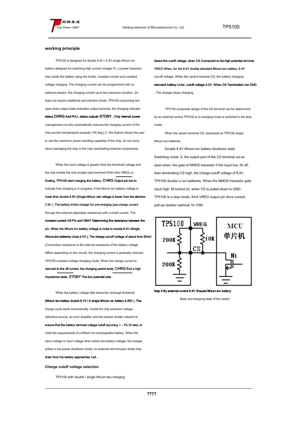#### **working principle**

TP5100 is designed for double 8.4V / 4.2V single lithium ion battery designed for switching high current charger IC, a power transistor chip inside the battery using the trickle, constant current and constant voltage charging. The charging current can be programmed with an external resistor, the charging current up to the maximum duration. 2A, does not require additional anti-intrusion diode. TP5100 comprising two open-drain output state indication output terminal, the charging indicator status CHRG And FULL status outputs STDBY . Chip internal power management circuitry automatically reduces the charging current of the chip junction temperature exceeds 145 deg.] C, this feature allows the user to use the maximum power handling capability of the chip, do not worry about damaging the chip or the chip overheating external components.

When the input voltage is greater than the threshold voltage and the chip enable the chip enable input terminal HIGH (the VREG) or floating, TP5100 start charging the battery, CHRG Output pin low to indicate that charging is in progress. If the lithium ion battery voltage is lower than double 5.8V (Single lithium cell voltage is lower than the electron 2.9V ), The battery trickle charger for pre-charging (pre-charge current through the external adjustable resistance) with a small current. The constant current VS Pin and VBAT Determining the resistance between the pin. When the lithium ion battery voltage is close to double 8.4V (Single lithium-ion batteries close 4.2V ), The charge cut-off voltage of about from 50mV (Connection resistance to the internal resistance of the battery voltage differs depending on the circuit), the charging current is gradually reduced, TP5100 constant voltage charging mode. When the charge current is reduced to the off current, the charging period ends, CHRG End a high impedance state, STDBY The low potential side.

When the battery voltage falls below the recharge threshold (lithium ion battery double 8.1V / A single lithium ion battery 4.05V ), The charge cycle starts automatically. Inside the chip precision voltage reference source, an error amplifier and the resistor divider network to ensure that the battery terminal voltage cutoff accuracy + - 1% Or less, to meet the requirements of a lithium ion rechargeable battery. When the input voltage or input voltage down below the battery voltage, the charger enters a low power shutdown mode, no external anti-intrusion diode chip drain from the battery approaches 1uA .

**Charge cutoff voltage selection**

TP5100 with double / single lithium two charging

Select the cutoff voltage. when CS Connected to the high potential terminal VREG When, for the 8.4V double standard lithium-ion battery, 8.4V cut-off voltage. When the vacant terminal CS, the battery charging standard battery Li-Ion, cutoff voltage 4.2V. When CS Termination low GND , The charger stops charging.

TP5100 composite design of the CS terminal can be determined by an external control TP5100 is in charging mode is switched to the stop mode.

When the vacant terminal CS, expressed as TP5100 single lithium-ion batteries.

Double 8.4V lithium-ion battery shutdown state Switching mode. 4, the output port of the CS terminal via an open-drain, the gate of NMOS transistor if the input low, Nl off, then terminating CS high, the charge-cutoff voltage of 8.4V, TP5100 double Li-ion batteries. When the NMOS transistor gate input high, Nl turned on, when CS is pulled down to GND, TP5100 is a stop mode. 5mA VREG output pin drive current, pull-up resistor optional 1k-100k.



Map 4 By external control 8.4V Shaped lithium-ion battery

State and stopping state of the switch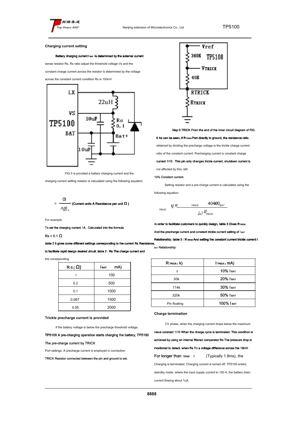

#### **Charging current setting**

#### Battery charging current I BAT Is determined by the external current

sense resistor Rs, Rs ratio adjust the threshold voltage Vs and the

constant charge current across the resistor is determined by the voltage

across the constant current condition Rs is 100mV.



FIG 5 is provided a battery charging current and the

charging current setting resistor is calculated using the following equation:



For example:

To set the charging current 1A , Calculated into the formula

 $Re = 0.1 \Omega$ 

table 2 It gives some different settings corresponding to the current Rs Resistance,

to facilitate rapid design desired circuit. table 2 : Rs The charge current and

the corresponding

| $RS(\Omega)$ | mA)<br>I ват |  |  |  |  |
|--------------|--------------|--|--|--|--|
|              | 100          |  |  |  |  |
| 0.2          | 500          |  |  |  |  |
| 0.1          | 1000         |  |  |  |  |
| 0.067        | 1500         |  |  |  |  |
| 0.05         | 2000         |  |  |  |  |

#### **Trickle precharge current is provided**

If the battery voltage is below the precharge threshold voltage,

TP5100 A pre-charging operation starts charging the battery, TP5100

#### The pre-charge current by TRICK

Port settings. A precharge current is employed in connection

TRICK Resistor connected between the pin and ground to set.



Map 6 TRICK From the end of the inner circuit diagram of FIG.

#### 6 As can be seen, if R TRICK Port directly to ground, the resistance ratio

obtained by dividing the precharge voltage is the trickle charge current

ratio of the constant current. Precharging current is constant charge

current 1/10 . This pin only changes trickle current, shutdown current is

not affected by this, still

#### 10% Constant current.

Setting resistor and a pre-charge current is calculated using the

following equation:



In order to facilitate customers to quickly design, table 3 Gives R TRICK

And the precharge current and constant trickle current setting of I BAT

Relationship. table 3 : R TRICK And setting the constant current trickle current I

,<br><sub>ват</sub> Relationship:

| $R$ Trick ( $k$ ) | $I$ <sub>TRICK</sub> $mA$ |  |  |
|-------------------|---------------------------|--|--|
| ŋ                 | $10\%$ I BAT              |  |  |
| 50 <sub>k</sub>   | 20% І ват                 |  |  |
| 114k              | 30% І ват                 |  |  |
| 320k              | 50% I BAT                 |  |  |
| Pin floating      | 100% І ват                |  |  |

**Charge termination**

CV phase, when the charging current drops below the maximum

value constant 1/10 When the charge cycle is terminated. This condition is achieved by using an internal filtered comparator Rs The pressure drop is monitored to detect. when Rs To a voltage difference across the 10mV For longer than  $TERM$   $t$  (Typically 1.8ms), the Charging is terminated. Charging current is turned off, TP5100 enters standby mode, where the input supply current to 120 A, the battery drain current flowing about 1uA.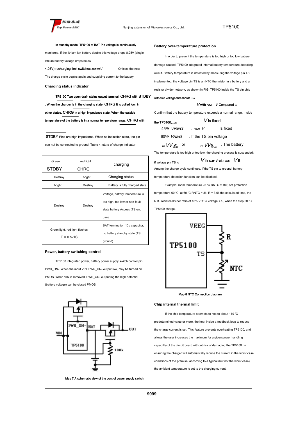#### In standby mode, TP5100 of BAT Pin voltage is continuously

monitored. If the lithium ion battery double this voltage drops 8.25V (single lithium battery voltage drops below

4.05V) recharging limit switches RECHRGV Or less, the new

The charge cycle begins again and supplying current to the battery.

**Charging status indicator**

TP5100 Two open-drain status output terminal, CHRG with STDBY . When the charger is in the charging state, CHRG It is pulled low, in other states, CHRG In a high impedance state. When the outside temperature of the battery is in a normal temperature range, CHRG with

STDBY Pins are high impedance. When no indication state, the pin can not be connected to ground. Table 4: state of charge indicator

| Green<br><b>STDBY</b>                            | red light<br><b>CHRG</b> | charging                                                                                                  |  |  |  |
|--------------------------------------------------|--------------------------|-----------------------------------------------------------------------------------------------------------|--|--|--|
| Destroy                                          | bright                   | Charging status                                                                                           |  |  |  |
| bright                                           | Destroy                  | Battery is fully charged state                                                                            |  |  |  |
| Destroy                                          | Destroy                  | Voltage, battery temperature is<br>too high, too low or non-fault<br>state battery Access (TS end<br>use) |  |  |  |
| Green light, red light flashes<br>$T = 0.5 - 1S$ |                          | BAT termination 10u capacitor,<br>no battery standby state (TS<br>ground)                                 |  |  |  |

#### **Power, battery switching control**

TP5100 integrated power, battery power supply switch control pin PWR\_ON-. When the input VIN, PWR\_ON- output low, may be turned on PMOS. When VIN is removed, PWR\_ON- outputting the high potential (battery voltage) can be closed PMOS.



Map 7 A schematic view of the control power supply switch

#### **Battery over-temperature protection**

In order to prevent the temperature is too high or too low battery damage caused, TP5100 integrated internal battery temperature detecting circuit. Battery temperature is detected by measuring the voltage pin TS implemented, the voltage pin TS is an NTC thermistor in a battery and a resistor divider network, as shown in FIG. TP5100 inside the TS pin chip

#### with two voltage thresholds  $_{LOW}$

#### $V$  with  $H$ <sub>IGH</sub>  $V$  Compared to

Confirm that the battery temperature exceeds a normal range. Inside

the TP5100,  $_{Low}$  V Is fixed 45% VREG, HIGH V Is fixed 80% *VREG* . If the TS pin voltage

#### $\sqrt{15}$  VV  $\sqrt{5}$  or or  $_{\tau s}$   $VV_{\widehat{\tau} _{HGH}}$  , The battery

The temperature is too high or too low, the charging process is suspended;

## if voltage pin TS  $_{rs}$  Vin Low V with  $_{\text{Moch}}$  V It

Among the charge cycle continues. If the TS pin to ground, battery

temperature detection function can be disabled.

Example: room temperature 25 ℃ RNTC = 10k, set protection

temperature 60 °C, at 60 °C RNTC = 3k, R = 3.6k the calculated time, the NTC resistor-divider ratio of 45% VREG voltage, i.e., when the stop 60 ℃ TP5100 charge.



Map 8 NTC Connection diagram

### **Chip internal thermal limit**

If the chip temperature attempts to rise to about 110 ℃ predetermined value or more, the heat inside a feedback loop to reduce the charge current is set. This feature prevents overheating TP5100, and allows the user increases the maximum for a given power handling capability of the circuit board without risk of damaging the TP5100. In ensuring the charger will automatically reduce the current in the worst case conditions of the premise, according to a typical (but not the worst case) the ambient temperature is set to the charging current.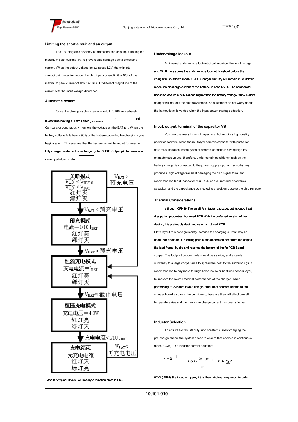#### **Limiting the short-circuit and an output**

TP5100 integrates a variety of protection, the chip input limiting the maximum peak current. 3A, to prevent chip damage due to excessive current. When the output voltage below about 1.2V, the chip into short-circuit protection mode, the chip input current limit is 10% of the maximum peak current of about 450mA. Of different magnitude of the current with the input voltage difference.

#### **Automatic restart**

Once the charge cycle is terminated, TP5100 immediately takes time having a 1.8ms filter ( $RECHARGE$  $t$  ) of Comparator continuously monitors the voltage on the BAT pin. When the battery voltage falls below 90% of the battery capacity, the charging cycle begins again. This ensures that the battery is maintained at (or near) a fully charged state. In the recharge cycle, CHRG Output pin to re-enter a

strong pull-down state.



#### **Undervoltage lockout**

An internal undervoltage lockout circuit monitors the input voltage,

and Vin It rises above the undervoltage lockout threshold before the charger in shutdown mode. UVLO Charger circuitry will remain in shutdown mode, no discharge current of the battery. in case UVLO The comparator transition occurs at VIN Raised higher than the battery voltage 50mV Before charger will not exit the shutdown mode. So customers do not worry about the battery level is vented when the input power shortage situation.

#### **Input, output, terminal of the capacitor VS**

You can use many types of capacitors, but requires high-quality power capacitors. When the multilayer ceramic capacitor with particular care must be taken, some types of ceramic capacitors having high EMI characteristic values, therefore, under certain conditions (such as the battery charger is connected to the power supply input and a work) may produce a high voltage transient damaging the chip signal form, and recommended 0.1uF capacitor 10uF X5R or X7R material or ceramic capacitor, and the capacitance connected to a position close to the chip pin sure.

#### **Thermal Considerations**

although QFN16 The small form factor package, but its good heat dissipation properties, but need PCB With the preferred version of the design, it is preferably designed using a hot well PCB Plate layout to most significantly increase the charging current may be used. For dissipate IC Cooling path of the generated heat from the chip to the lead frame, by die and reaches the bottom of the fin PCB Board copper. The footprint copper pads should be as wide, and extends outwardly to a large copper area to spread the heat to the surroundings. It recommended to pay more through holes inside or backside copper layer, to improve the overall thermal performance of the charger. When performing PCB Board layout design, other heat sources related to the charger board also must be considered, because they will affect overall

## temperature rise and the maximum charge current has been affected.

#### **Inductor Selection**

To ensure system stability, and constant current charging the pre-charge phase, the system needs to ensure that operate in continuous mode (CCM). The inductor current equation:

$$
\times = \underline{\wedge} \quad \underline{\qquad} \quad \overbrace{\qquad \qquad } \qquad \qquad F \underline{\mathcal{S}} \underline{\mathcal{U}} \stackrel{\text{W}}{\xrightarrow{\qquad \qquad } } \underline{\mathcal{W}} \underline{\mathcal{W}} \underline{\mathcal{W}} \qquad \qquad \times \quad \underline{\mathcal{W}} \underline{\mathcal{W}} \underline{\mathcal{W}} \qquad \qquad \mathcal{W}
$$

among them *the inductor ripple*, FS is the switching frequency, in order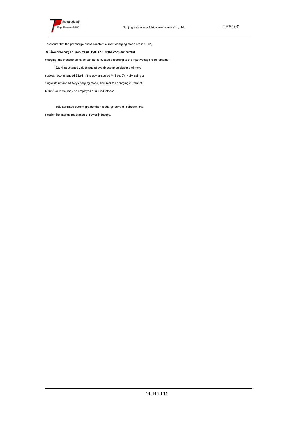

To ensure that the precharge and a constant current charging mode are in CCM,

## $\Delta$  Take pre-charge current value, that is 1/5 of the constant current

charging, the inductance value can be calculated according to the input voltage requirements.

22uH inductance values and above (inductance bigger and more

stable), recommended 22uH. If the power source VIN set 5V, 4.2V using a

single lithium-ion battery charging mode, and sets the charging current of

500mA or more, may be employed 10uH inductance.

Inductor rated current greater than a charge current is chosen, the

smaller the internal resistance of power inductors.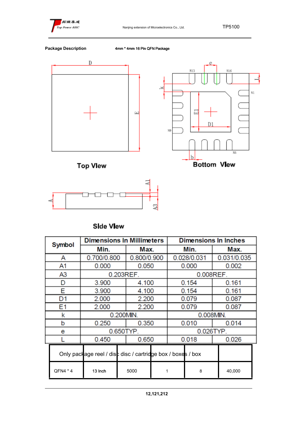



**Package Description** 4mm \* 4mm 16 Pin QFN Package





| Symbol   | <b>Dimensions In Millimeters</b>                            |  |             | <b>Dimensions In Inches</b> |             |        |       |             |  |
|----------|-------------------------------------------------------------|--|-------------|-----------------------------|-------------|--------|-------|-------------|--|
|          | Min.                                                        |  | Max.        |                             |             | Min.   |       | Max.        |  |
| A        | 0.700/0.800                                                 |  | 0.800/0.900 |                             | 0.028/0.031 |        |       | 0.031/0.035 |  |
| A1       | 0.000                                                       |  | 0.050       |                             | 0.000       |        |       | 0.002       |  |
| A3       | 0.203REF.                                                   |  |             |                             | 0.008REF.   |        |       |             |  |
| D        | 3.900                                                       |  | 4.100       |                             | 0.154       |        |       | 0.161       |  |
| Е        | 3.900                                                       |  | 4.100       |                             | 0.154       |        |       | 0.161       |  |
| D1       | 2.000                                                       |  | 2.200       |                             |             | 0.079  |       | 0.087       |  |
| Ε1       | 2.000                                                       |  | 2.200       |                             |             | 0.079  |       | 0.087       |  |
| k        | 0.200MIN.                                                   |  |             | 0.008MIN.                   |             |        |       |             |  |
| b        | 0.250                                                       |  | 0.350       |                             |             | 0.010  |       | 0.014       |  |
| е        |                                                             |  | 0.650TYP.   |                             | 0.026TYP.   |        |       |             |  |
|          | 0.450                                                       |  | 0.650       |                             | 0.018       |        | 0.026 |             |  |
|          | Only package reel / disc disc / cartridge box / boxes / box |  |             |                             |             |        |       |             |  |
| QFN4 * 4 | 5000<br>13 Inch                                             |  | 8<br>1      |                             |             | 40,000 |       |             |  |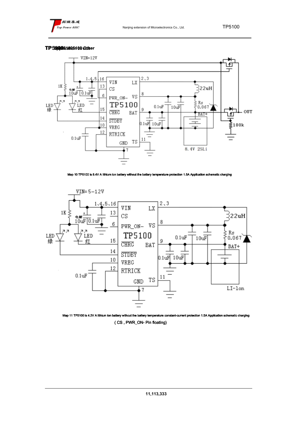

## **TP5100 510051005100 application circuit Other**



Map 10 TP5100 is 8.4V A lithium ion battery without the battery temperature protection 1.5A Application schematic charging